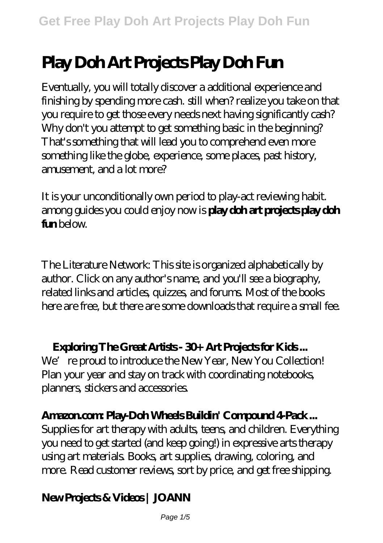# **Play Doh Art Projects Play Doh Fun**

Eventually, you will totally discover a additional experience and finishing by spending more cash. still when? realize you take on that you require to get those every needs next having significantly cash? Why don't you attempt to get something basic in the beginning? That's something that will lead you to comprehend even more something like the globe, experience, some places, past history, amusement, and a lot more?

It is your unconditionally own period to play-act reviewing habit. among guides you could enjoy now is **play doh art projects play doh f**in below.

The Literature Network: This site is organized alphabetically by author. Click on any author's name, and you'll see a biography, related links and articles, quizzes, and forums. Most of the books here are free, but there are some downloads that require a small fee.

#### **Exploring The Great Artists - 30+ Art Projects for Kids ...**

We're proud to introduce the New Year, New You Collection! Plan your year and stay on track with coordinating notebooks, planners, stickers and accessories.

# **Amazon.com: Play-Doh Wheels Buildin' Compound 4-Pack ...**

Supplies for art therapy with adults, teens, and children. Everything you need to get started (and keep going!) in expressive arts therapy using art materials. Books, art supplies, drawing, coloring, and more. Read customer reviews, sort by price, and get free shipping.

# **New Projects & Videos | JOANN**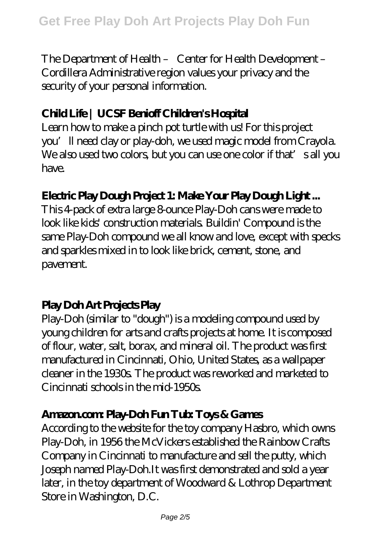The Department of Health – Center for Health Development – Cordillera Administrative region values your privacy and the security of your personal information.

#### **Child Life | UCSF Benioff Children's Hospital**

Learn how to make a pinch pot turtle with us! For this project you'll need clay or play-doh, we used magic model from Crayola. We also used two colors, but you can use one color if that's all you have.

#### **Electric Play Dough Project 1: Make Your Play Dough Light ...**

This 4-pack of extra large 8-ounce Play-Doh cans were made to look like kids' construction materials. Buildin' Compound is the same Play-Doh compound we all know and love, except with specks and sparkles mixed in to look like brick, cement, stone, and pavement.

#### **Play Doh Art Projects Play**

Play-Doh (similar to "dough") is a modeling compound used by young children for arts and crafts projects at home. It is composed of flour, water, salt, borax, and mineral oil. The product was first manufactured in Cincinnati, Ohio, United States, as a wallpaper cleaner in the 1930s. The product was reworked and marketed to Cincinnati schools in the mid-1950s.

#### **Amazon.com: Play-Doh Fun Tub: Toys & Games**

According to the website for the toy company Hasbro, which owns Play-Doh, in 1956 the McVickers established the Rainbow Crafts Company in Cincinnati to manufacture and sell the putty, which Joseph named Play-Doh.It was first demonstrated and sold a year later, in the toy department of Woodward & Lothrop Department Store in Washington, D.C.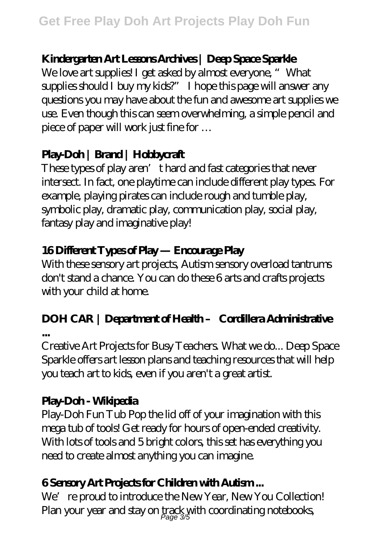# **Kindergarten Art Lessons Archives | Deep Space Sparkle**

We love art supplies! I get asked by almost everyone, "What supplies should I buy my kids?" I hope this page will answer any questions you may have about the fun and awesome art supplies we use. Even though this can seem overwhelming, a simple pencil and piece of paper will work just fine for …

# **Play-Doh | Brand | Hobbycraft**

These types of play aren't hard and fast categories that never intersect. In fact, one playtime can include different play types. For example, playing pirates can include rough and tumble play, symbolic play, dramatic play, communication play, social play, fantasy play and imaginative play!

# **16 Different Types of Play — Encourage Play**

With these sensory art projects, Autism sensory overload tantrums don't stand a chance. You can do these 6 arts and crafts projects with your child at home.

# **DOH CAR | Department of Health – Cordillera Administrative**

**...**

Creative Art Projects for Busy Teachers. What we do... Deep Space Sparkle offers art lesson plans and teaching resources that will help you teach art to kids, even if you aren't a great artist.

### **Play-Doh - Wikipedia**

Play-Doh Fun Tub Pop the lid off of your imagination with this mega tub of tools! Get ready for hours of open-ended creativity. With lots of tools and 5 bright colors, this set has everything you need to create almost anything you can imagine.

### **6 Sensory Art Projects for Children with Autism ...**

We're proud to introduce the New Year, New You Collection! Plan your year and stay on track with coordinating notebooks,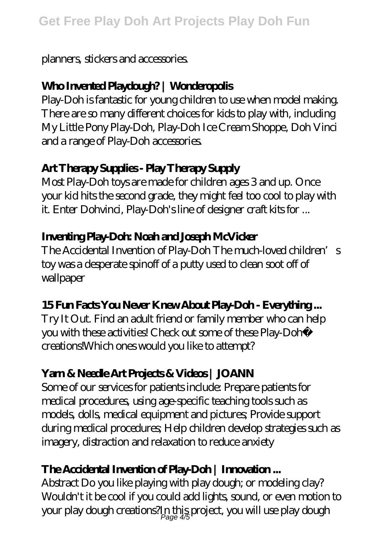#### planners, stickers and accessories.

# **Who Invented Playdough? | Wonderopolis**

Play-Doh is fantastic for young children to use when model making. There are so many different choices for kids to play with, including My Little Pony Play-Doh, Play-Doh Ice Cream Shoppe, Doh Vinci and a range of Play-Doh accessories.

# **Art Therapy Supplies - Play Therapy Supply**

Most Play-Doh toys are made for children ages 3 and up. Once your kid hits the second grade, they might feel too cool to play with it. Enter Dohvinci, Play-Doh's line of designer craft kits for ...

# **Inventing Play-Doh: Noah and Joseph McVicker**

The Accidental Invention of Play-Doh The much-loved children's toy was a desperate spinoff of a putty used to clean soot off of wallpaper

### **15 Fun Facts You Never Knew About Play-Doh - Everything ...**

Try It Out. Find an adult friend or family member who can help you with these activities! Check out some of these Play-Doh® creations!Which ones would you like to attempt?

# **Yarn & Needle Art Projects & Videos | JOANN**

Some of our services for patients include: Prepare patients for medical procedures, using age-specific teaching tools such as models, dolls, medical equipment and pictures; Provide support during medical procedures; Help children develop strategies such as imagery, distraction and relaxation to reduce anxiety

# **The Accidental Invention of Play-Doh | Innovation ...**

Abstract Do you like playing with play dough; or modeling clay? Wouldn't it be cool if you could add lights, sound, or even motion to your play dough creations?In this project, you will use play dough